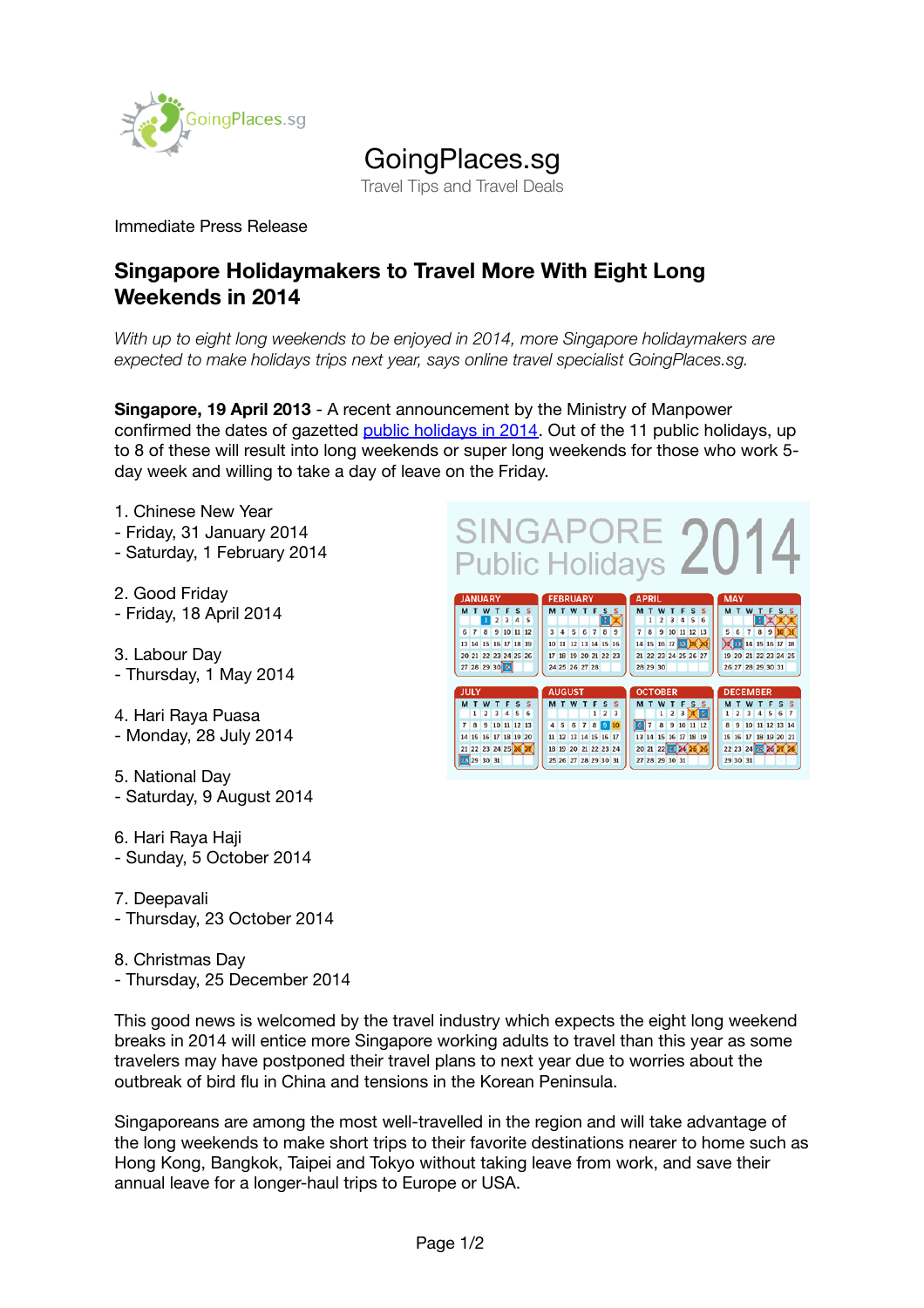

## GoingPlaces.sg

Travel Tips and Travel Deals

## Immediate Press Release

## **Singapore Holidaymakers to Travel More With Eight Long Weekends in 2014**

*With up to eight long weekends to be enjoyed in 2014, more Singapore holidaymakers are expected to make holidays trips next year, says online travel specialist GoingPlaces.sg.*

**Singapore, 19 April 2013** - A recent announcement by the Ministry of Manpower confirmed the dates of gazetted [public holidays in 2014.](http://www.mom.gov.sg/newsroom/Pages/PressReleasesDetail.aspx?listid=493) Out of the 11 public holidays, up to 8 of these will result into long weekends or super long weekends for those who work 5 day week and willing to take a day of leave on the Friday.

- 1. Chinese New Year - Friday, 31 January 2014 - Saturday, 1 February 2014
- 2. Good Friday - Friday, 18 April 2014
- 3. Labour Day - Thursday, 1 May 2014
- 4. Hari Raya Puasa - Monday, 28 July 2014
- 5. National Day - Saturday, 9 August 2014
- 6. Hari Raya Haji - Sunday, 5 October 2014
- 7. Deepavali
- Thursday, 23 October 2014
- 8. Christmas Day - Thursday, 25 December 2014

This good news is welcomed by the travel industry which expects the eight long weekend breaks in 2014 will entice more Singapore working adults to travel than this year as some travelers may have postponed their travel plans to next year due to worries about the outbreak of bird flu in China and tensions in the Korean Peninsula.

Singaporeans are among the most well-travelled in the region and will take advantage of the long weekends to make short trips to their favorite destinations nearer to home such as Hong Kong, Bangkok, Taipei and Tokyo without taking leave from work, and save their annual leave for a longer-haul trips to Europe or USA.